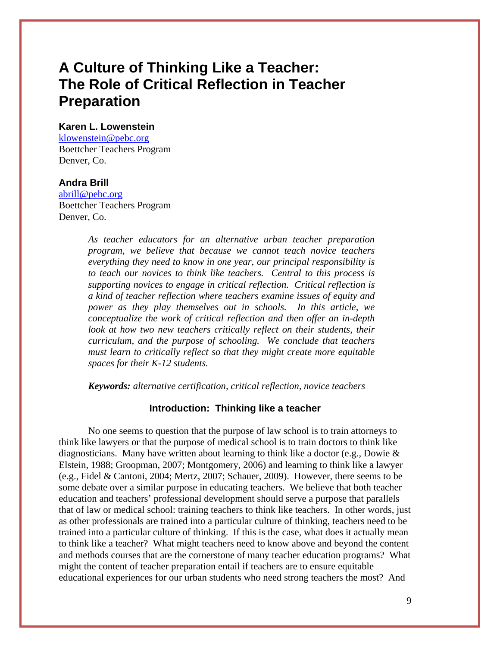# **A Culture of Thinking Like a Teacher: The Role of Critical Reflection in Teacher Preparation**

# **Karen L. Lowenstein**

[klowenstein@pebc.org](mailto:klowenstein@pebc.org) Boettcher Teachers Program Denver, Co.

#### **Andra Brill**

[abrill@pebc.org](mailto:abrill@pebc.org) Boettcher Teachers Program Denver, Co.

> *As teacher educators for an alternative urban teacher preparation program, we believe that because we cannot teach novice teachers everything they need to know in one year, our principal responsibility is to teach our novices to think like teachers. Central to this process is supporting novices to engage in critical reflection. Critical reflection is a kind of teacher reflection where teachers examine issues of equity and power as they play themselves out in schools. In this article, we conceptualize the work of critical reflection and then offer an in-depth look at how two new teachers critically reflect on their students, their curriculum, and the purpose of schooling. We conclude that teachers must learn to critically reflect so that they might create more equitable spaces for their K-12 students.*

*Keywords: alternative certification, critical reflection, novice teachers* 

#### **Introduction: Thinking like a teacher**

No one seems to question that the purpose of law school is to train attorneys to think like lawyers or that the purpose of medical school is to train doctors to think like diagnosticians. Many have written about learning to think like a doctor (e.g., Dowie & Elstein, 1988; Groopman, 2007; Montgomery, 2006) and learning to think like a lawyer (e.g., Fidel & Cantoni, 2004; Mertz, 2007; Schauer, 2009). However, there seems to be some debate over a similar purpose in educating teachers. We believe that both teacher education and teachers' professional development should serve a purpose that parallels that of law or medical school: training teachers to think like teachers. In other words, just as other professionals are trained into a particular culture of thinking, teachers need to be trained into a particular culture of thinking. If this is the case, what does it actually mean to think like a teacher? What might teachers need to know above and beyond the content and methods courses that are the cornerstone of many teacher education programs? What might the content of teacher preparation entail if teachers are to ensure equitable educational experiences for our urban students who need strong teachers the most? And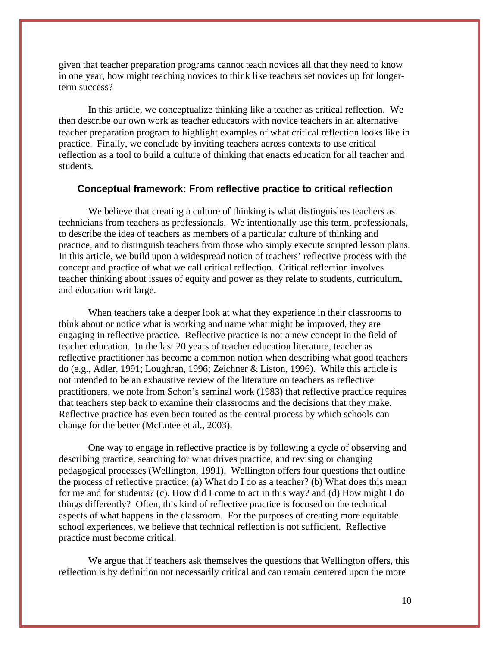given that teacher preparation programs cannot teach novices all that they need to know in one year, how might teaching novices to think like teachers set novices up for longerterm success?

In this article, we conceptualize thinking like a teacher as critical reflection. We then describe our own work as teacher educators with novice teachers in an alternative teacher preparation program to highlight examples of what critical reflection looks like in practice. Finally, we conclude by inviting teachers across contexts to use critical reflection as a tool to build a culture of thinking that enacts education for all teacher and students.

#### **Conceptual framework: From reflective practice to critical reflection**

We believe that creating a culture of thinking is what distinguishes teachers as technicians from teachers as professionals. We intentionally use this term, professionals, to describe the idea of teachers as members of a particular culture of thinking and practice, and to distinguish teachers from those who simply execute scripted lesson plans. In this article, we build upon a widespread notion of teachers' reflective process with the concept and practice of what we call critical reflection. Critical reflection involves teacher thinking about issues of equity and power as they relate to students, curriculum, and education writ large.

When teachers take a deeper look at what they experience in their classrooms to think about or notice what is working and name what might be improved, they are engaging in reflective practice. Reflective practice is not a new concept in the field of teacher education. In the last 20 years of teacher education literature, teacher as reflective practitioner has become a common notion when describing what good teachers do (e.g., Adler, 1991; Loughran, 1996; Zeichner & Liston, 1996). While this article is not intended to be an exhaustive review of the literature on teachers as reflective practitioners, we note from Schon's seminal work (1983) that reflective practice requires that teachers step back to examine their classrooms and the decisions that they make. Reflective practice has even been touted as the central process by which schools can change for the better (McEntee et al., 2003).

One way to engage in reflective practice is by following a cycle of observing and describing practice, searching for what drives practice, and revising or changing pedagogical processes (Wellington, 1991). Wellington offers four questions that outline the process of reflective practice: (a) What do I do as a teacher? (b) What does this mean for me and for students? (c). How did I come to act in this way? and (d) How might I do things differently? Often, this kind of reflective practice is focused on the technical aspects of what happens in the classroom. For the purposes of creating more equitable school experiences, we believe that technical reflection is not sufficient. Reflective practice must become critical.

We argue that if teachers ask themselves the questions that Wellington offers, this reflection is by definition not necessarily critical and can remain centered upon the more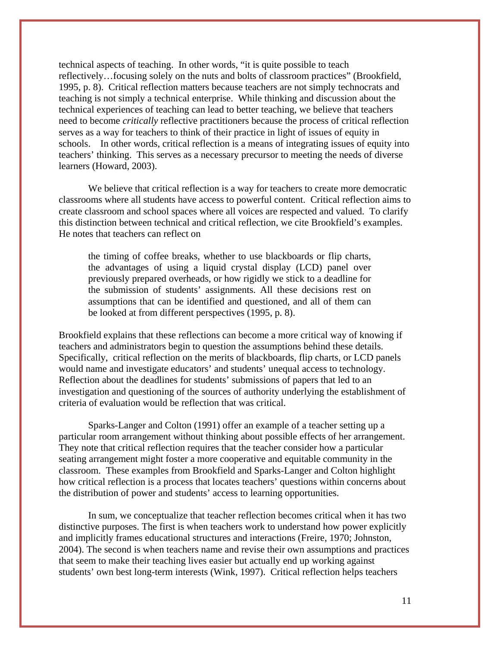technical aspects of teaching. In other words, "it is quite possible to teach reflectively…focusing solely on the nuts and bolts of classroom practices" (Brookfield, 1995, p. 8). Critical reflection matters because teachers are not simply technocrats and teaching is not simply a technical enterprise. While thinking and discussion about the technical experiences of teaching can lead to better teaching, we believe that teachers need to become *critically* reflective practitioners because the process of critical reflection serves as a way for teachers to think of their practice in light of issues of equity in schools. In other words, critical reflection is a means of integrating issues of equity into teachers' thinking. This serves as a necessary precursor to meeting the needs of diverse learners (Howard, 2003).

We believe that critical reflection is a way for teachers to create more democratic classrooms where all students have access to powerful content. Critical reflection aims to create classroom and school spaces where all voices are respected and valued. To clarify this distinction between technical and critical reflection, we cite Brookfield's examples. He notes that teachers can reflect on

the timing of coffee breaks, whether to use blackboards or flip charts, the advantages of using a liquid crystal display (LCD) panel over previously prepared overheads, or how rigidly we stick to a deadline for the submission of students' assignments. All these decisions rest on assumptions that can be identified and questioned, and all of them can be looked at from different perspectives (1995, p. 8).

Brookfield explains that these reflections can become a more critical way of knowing if teachers and administrators begin to question the assumptions behind these details. Specifically, critical reflection on the merits of blackboards, flip charts, or LCD panels would name and investigate educators' and students' unequal access to technology. Reflection about the deadlines for students' submissions of papers that led to an investigation and questioning of the sources of authority underlying the establishment of criteria of evaluation would be reflection that was critical.

Sparks-Langer and Colton (1991) offer an example of a teacher setting up a particular room arrangement without thinking about possible effects of her arrangement. They note that critical reflection requires that the teacher consider how a particular seating arrangement might foster a more cooperative and equitable community in the classroom. These examples from Brookfield and Sparks-Langer and Colton highlight how critical reflection is a process that locates teachers' questions within concerns about the distribution of power and students' access to learning opportunities.

In sum, we conceptualize that teacher reflection becomes critical when it has two distinctive purposes. The first is when teachers work to understand how power explicitly and implicitly frames educational structures and interactions (Freire, 1970; Johnston, 2004). The second is when teachers name and revise their own assumptions and practices that seem to make their teaching lives easier but actually end up working against students' own best long-term interests (Wink, 1997). Critical reflection helps teachers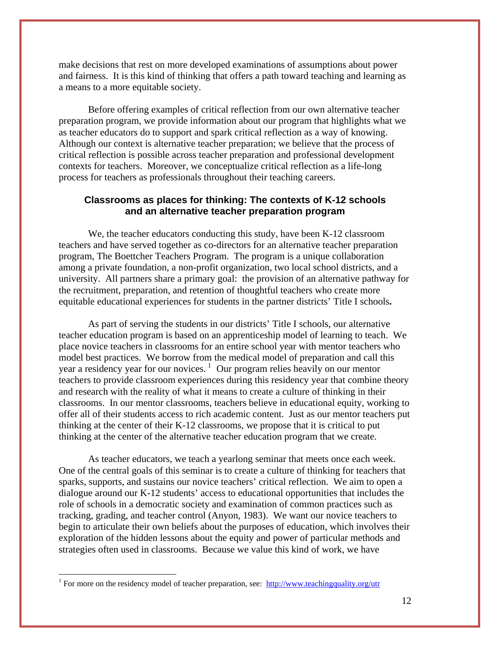make decisions that rest on more developed examinations of assumptions about power and fairness. It is this kind of thinking that offers a path toward teaching and learning as a means to a more equitable society.

Before offering examples of critical reflection from our own alternative teacher preparation program, we provide information about our program that highlights what we as teacher educators do to support and spark critical reflection as a way of knowing. Although our context is alternative teacher preparation; we believe that the process of critical reflection is possible across teacher preparation and professional development contexts for teachers. Moreover, we conceptualize critical reflection as a life-long process for teachers as professionals throughout their teaching careers.

# **Classrooms as places for thinking: The contexts of K-12 schools and an alternative teacher preparation program**

We, the teacher educators conducting this study, have been K-12 classroom teachers and have served together as co-directors for an alternative teacher preparation program, The Boettcher Teachers Program. The program is a unique collaboration among a private foundation, a non-profit organization, two local school districts, and a university. All partners share a primary goal: the provision of an alternative pathway for the recruitment, preparation, and retention of thoughtful teachers who create more equitable educational experiences for students in the partner districts' Title I schools**.** 

As part of serving the students in our districts' Title I schools, our alternative teacher education program is based on an apprenticeship model of learning to teach. We place novice teachers in classrooms for an entire school year with mentor teachers who model best practices. We borrow from the medical model of preparation and call this year a residency year for our novices.<sup>[1](#page-3-0)</sup> Our program relies heavily on our mentor teachers to provide classroom experiences during this residency year that combine theory and research with the reality of what it means to create a culture of thinking in their classrooms. In our mentor classrooms, teachers believe in educational equity, working to offer all of their students access to rich academic content. Just as our mentor teachers put thinking at the center of their K-12 classrooms, we propose that it is critical to put thinking at the center of the alternative teacher education program that we create.

As teacher educators, we teach a yearlong seminar that meets once each week. One of the central goals of this seminar is to create a culture of thinking for teachers that sparks, supports, and sustains our novice teachers' critical reflection. We aim to open a dialogue around our K-12 students' access to educational opportunities that includes the role of schools in a democratic society and examination of common practices such as tracking, grading, and teacher control (Anyon, 1983). We want our novice teachers to begin to articulate their own beliefs about the purposes of education, which involves their exploration of the hidden lessons about the equity and power of particular methods and strategies often used in classrooms. Because we value this kind of work, we have

 $\overline{a}$ 

<span id="page-3-0"></span><sup>&</sup>lt;sup>1</sup> For more on the residency model of teacher preparation, see:  $\frac{http://www.teachingquality.org/utr}{}$  $\frac{http://www.teachingquality.org/utr}{}$  $\frac{http://www.teachingquality.org/utr}{}$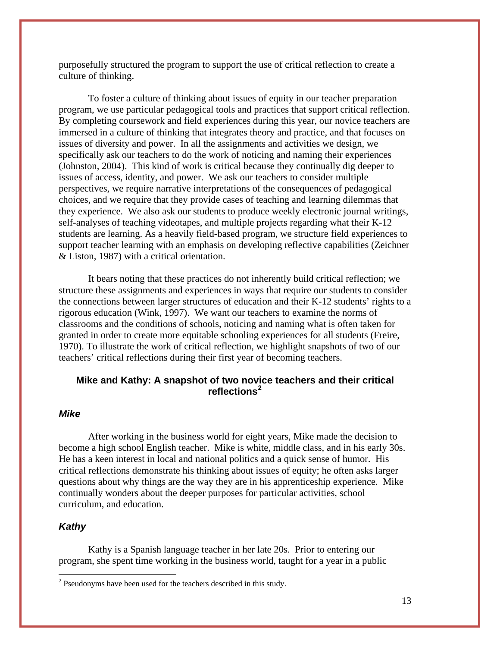purposefully structured the program to support the use of critical reflection to create a culture of thinking.

To foster a culture of thinking about issues of equity in our teacher preparation program, we use particular pedagogical tools and practices that support critical reflection. By completing coursework and field experiences during this year, our novice teachers are immersed in a culture of thinking that integrates theory and practice, and that focuses on issues of diversity and power. In all the assignments and activities we design, we specifically ask our teachers to do the work of noticing and naming their experiences (Johnston, 2004). This kind of work is critical because they continually dig deeper to issues of access, identity, and power. We ask our teachers to consider multiple perspectives, we require narrative interpretations of the consequences of pedagogical choices, and we require that they provide cases of teaching and learning dilemmas that they experience. We also ask our students to produce weekly electronic journal writings, self-analyses of teaching videotapes, and multiple projects regarding what their K-12 students are learning. As a heavily field-based program, we structure field experiences to support teacher learning with an emphasis on developing reflective capabilities (Zeichner & Liston, 1987) with a critical orientation.

It bears noting that these practices do not inherently build critical reflection; we structure these assignments and experiences in ways that require our students to consider the connections between larger structures of education and their K-12 students' rights to a rigorous education (Wink, 1997). We want our teachers to examine the norms of classrooms and the conditions of schools, noticing and naming what is often taken for granted in order to create more equitable schooling experiences for all students (Freire, 1970). To illustrate the work of critical reflection, we highlight snapshots of two of our teachers' critical reflections during their first year of becoming teachers.

# **Mike and Kathy: A snapshot of two novice teachers and their critical reflections[2](#page-4-0)**

# *Mike*

After working in the business world for eight years, Mike made the decision to become a high school English teacher. Mike is white, middle class, and in his early 30s. He has a keen interest in local and national politics and a quick sense of humor. His critical reflections demonstrate his thinking about issues of equity; he often asks larger questions about why things are the way they are in his apprenticeship experience. Mike continually wonders about the deeper purposes for particular activities, school curriculum, and education.

# *Kathy*

 $\overline{a}$ 

 Kathy is a Spanish language teacher in her late 20s. Prior to entering our program, she spent time working in the business world, taught for a year in a public

<span id="page-4-0"></span> $2^2$  Pseudonyms have been used for the teachers described in this study.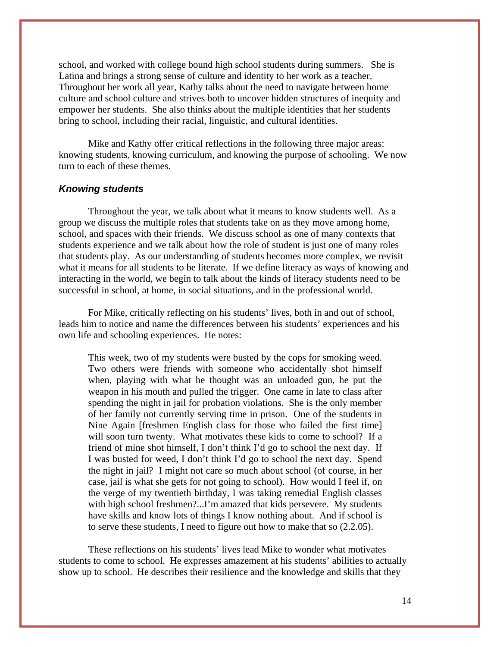school, and worked with college bound high school students during summers. She is Latina and brings a strong sense of culture and identity to her work as a teacher. Throughout her work all year, Kathy talks about the need to navigate between home culture and school culture and strives both to uncover hidden structures of inequity and empower her students. She also thinks about the multiple identities that her students bring to school, including their racial, linguistic, and cultural identities.

Mike and Kathy offer critical reflections in the following three major areas: knowing students, knowing curriculum, and knowing the purpose of schooling. We now turn to each of these themes.

### *Knowing students*

 Throughout the year, we talk about what it means to know students well. As a group we discuss the multiple roles that students take on as they move among home, school, and spaces with their friends. We discuss school as one of many contexts that students experience and we talk about how the role of student is just one of many roles that students play. As our understanding of students becomes more complex, we revisit what it means for all students to be literate. If we define literacy as ways of knowing and interacting in the world, we begin to talk about the kinds of literacy students need to be successful in school, at home, in social situations, and in the professional world.

 For Mike, critically reflecting on his students' lives, both in and out of school, leads him to notice and name the differences between his students' experiences and his own life and schooling experiences. He notes:

This week, two of my students were busted by the cops for smoking weed. Two others were friends with someone who accidentally shot himself when, playing with what he thought was an unloaded gun, he put the weapon in his mouth and pulled the trigger. One came in late to class after spending the night in jail for probation violations. She is the only member of her family not currently serving time in prison. One of the students in Nine Again [freshmen English class for those who failed the first time] will soon turn twenty. What motivates these kids to come to school? If a friend of mine shot himself, I don't think I'd go to school the next day. If I was busted for weed, I don't think I'd go to school the next day. Spend the night in jail? I might not care so much about school (of course, in her case, jail is what she gets for not going to school). How would I feel if, on the verge of my twentieth birthday, I was taking remedial English classes with high school freshmen?...I'm amazed that kids persevere. My students have skills and know lots of things I know nothing about. And if school is to serve these students, I need to figure out how to make that so (2.2.05).

These reflections on his students' lives lead Mike to wonder what motivates students to come to school. He expresses amazement at his students' abilities to actually show up to school. He describes their resilience and the knowledge and skills that they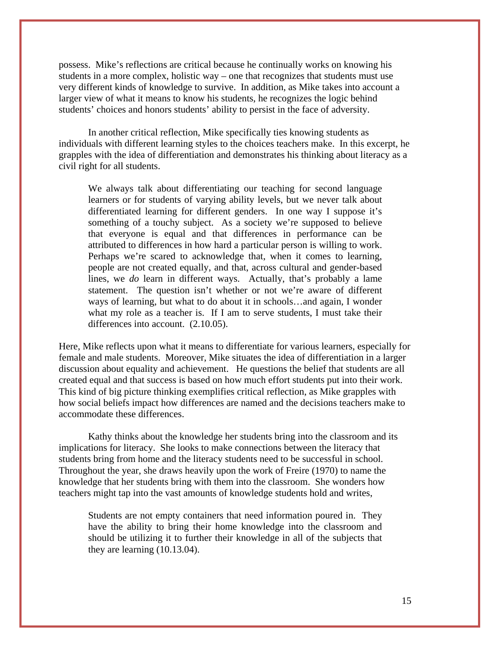possess. Mike's reflections are critical because he continually works on knowing his students in a more complex, holistic way – one that recognizes that students must use very different kinds of knowledge to survive. In addition, as Mike takes into account a larger view of what it means to know his students, he recognizes the logic behind students' choices and honors students' ability to persist in the face of adversity.

 In another critical reflection, Mike specifically ties knowing students as individuals with different learning styles to the choices teachers make. In this excerpt, he grapples with the idea of differentiation and demonstrates his thinking about literacy as a civil right for all students.

We always talk about differentiating our teaching for second language learners or for students of varying ability levels, but we never talk about differentiated learning for different genders. In one way I suppose it's something of a touchy subject. As a society we're supposed to believe that everyone is equal and that differences in performance can be attributed to differences in how hard a particular person is willing to work. Perhaps we're scared to acknowledge that, when it comes to learning, people are not created equally, and that, across cultural and gender-based lines, we *do* learn in different ways. Actually, that's probably a lame statement. The question isn't whether or not we're aware of different ways of learning, but what to do about it in schools…and again, I wonder what my role as a teacher is. If I am to serve students, I must take their differences into account. (2.10.05).

Here, Mike reflects upon what it means to differentiate for various learners, especially for female and male students. Moreover, Mike situates the idea of differentiation in a larger discussion about equality and achievement. He questions the belief that students are all created equal and that success is based on how much effort students put into their work. This kind of big picture thinking exemplifies critical reflection, as Mike grapples with how social beliefs impact how differences are named and the decisions teachers make to accommodate these differences.

Kathy thinks about the knowledge her students bring into the classroom and its implications for literacy. She looks to make connections between the literacy that students bring from home and the literacy students need to be successful in school. Throughout the year, she draws heavily upon the work of Freire (1970) to name the knowledge that her students bring with them into the classroom. She wonders how teachers might tap into the vast amounts of knowledge students hold and writes,

Students are not empty containers that need information poured in. They have the ability to bring their home knowledge into the classroom and should be utilizing it to further their knowledge in all of the subjects that they are learning (10.13.04).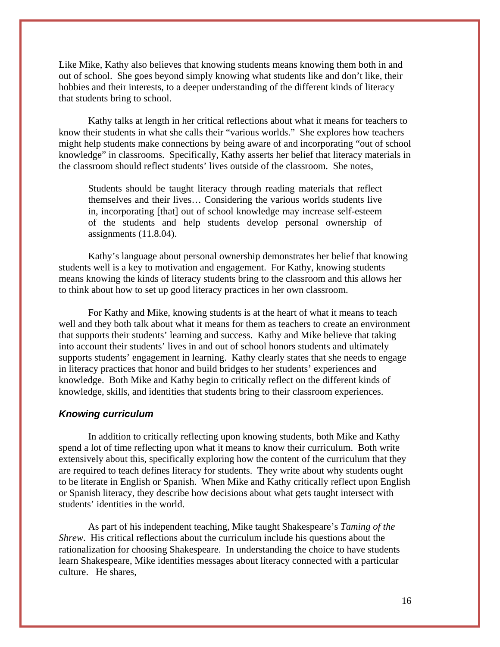Like Mike, Kathy also believes that knowing students means knowing them both in and out of school. She goes beyond simply knowing what students like and don't like, their hobbies and their interests, to a deeper understanding of the different kinds of literacy that students bring to school.

Kathy talks at length in her critical reflections about what it means for teachers to know their students in what she calls their "various worlds." She explores how teachers might help students make connections by being aware of and incorporating "out of school knowledge" in classrooms. Specifically, Kathy asserts her belief that literacy materials in the classroom should reflect students' lives outside of the classroom. She notes,

Students should be taught literacy through reading materials that reflect themselves and their lives… Considering the various worlds students live in, incorporating [that] out of school knowledge may increase self-esteem of the students and help students develop personal ownership of assignments (11.8.04).

Kathy's language about personal ownership demonstrates her belief that knowing students well is a key to motivation and engagement. For Kathy, knowing students means knowing the kinds of literacy students bring to the classroom and this allows her to think about how to set up good literacy practices in her own classroom.

For Kathy and Mike, knowing students is at the heart of what it means to teach well and they both talk about what it means for them as teachers to create an environment that supports their students' learning and success. Kathy and Mike believe that taking into account their students' lives in and out of school honors students and ultimately supports students' engagement in learning. Kathy clearly states that she needs to engage in literacy practices that honor and build bridges to her students' experiences and knowledge. Both Mike and Kathy begin to critically reflect on the different kinds of knowledge, skills, and identities that students bring to their classroom experiences.

#### *Knowing curriculum*

In addition to critically reflecting upon knowing students, both Mike and Kathy spend a lot of time reflecting upon what it means to know their curriculum. Both write extensively about this, specifically exploring how the content of the curriculum that they are required to teach defines literacy for students. They write about why students ought to be literate in English or Spanish. When Mike and Kathy critically reflect upon English or Spanish literacy, they describe how decisions about what gets taught intersect with students' identities in the world.

As part of his independent teaching, Mike taught Shakespeare's *Taming of the Shrew*. His critical reflections about the curriculum include his questions about the rationalization for choosing Shakespeare. In understanding the choice to have students learn Shakespeare, Mike identifies messages about literacy connected with a particular culture. He shares,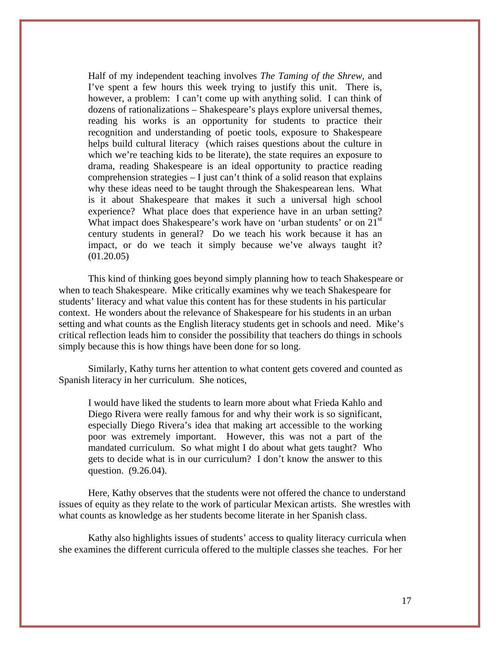Half of my independent teaching involves *The Taming of the Shrew*, and I've spent a few hours this week trying to justify this unit. There is, however, a problem: I can't come up with anything solid. I can think of dozens of rationalizations *–* Shakespeare's plays explore universal themes, reading his works is an opportunity for students to practice their recognition and understanding of poetic tools, exposure to Shakespeare helps build cultural literacy (which raises questions about the culture in which we're teaching kids to be literate), the state requires an exposure to drama, reading Shakespeare is an ideal opportunity to practice reading comprehension strategies  $-1$  just can't think of a solid reason that explains why these ideas need to be taught through the Shakespearean lens. What is it about Shakespeare that makes it such a universal high school experience? What place does that experience have in an urban setting? What impact does Shakespeare's work have on 'urban students' or on  $21<sup>st</sup>$ century students in general? Do we teach his work because it has an impact, or do we teach it simply because we've always taught it? (01.20.05)

This kind of thinking goes beyond simply planning how to teach Shakespeare or when to teach Shakespeare. Mike critically examines why we teach Shakespeare for students' literacy and what value this content has for these students in his particular context. He wonders about the relevance of Shakespeare for his students in an urban setting and what counts as the English literacy students get in schools and need. Mike's critical reflection leads him to consider the possibility that teachers do things in schools simply because this is how things have been done for so long.

 Similarly, Kathy turns her attention to what content gets covered and counted as Spanish literacy in her curriculum. She notices,

I would have liked the students to learn more about what Frieda Kahlo and Diego Rivera were really famous for and why their work is so significant, especially Diego Rivera's idea that making art accessible to the working poor was extremely important. However, this was not a part of the mandated curriculum. So what might I do about what gets taught? Who gets to decide what is in our curriculum? I don't know the answer to this question. (9.26.04).

Here, Kathy observes that the students were not offered the chance to understand issues of equity as they relate to the work of particular Mexican artists. She wrestles with what counts as knowledge as her students become literate in her Spanish class.

Kathy also highlights issues of students' access to quality literacy curricula when she examines the different curricula offered to the multiple classes she teaches. For her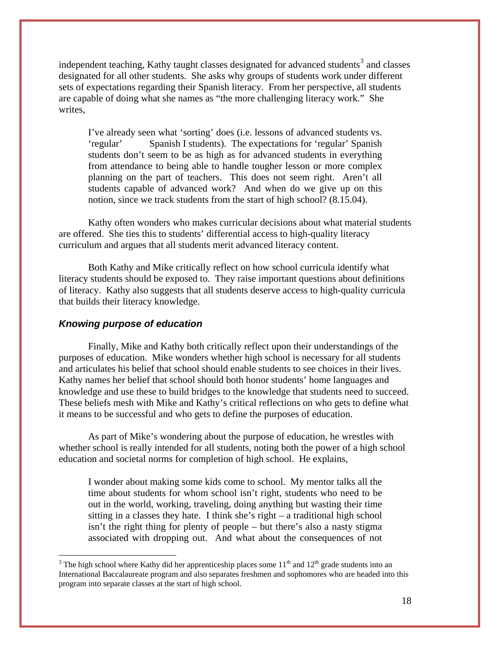independent teaching, Kathy taught classes designated for advanced students<sup>[3](#page-9-0)</sup> and classes designated for all other students. She asks why groups of students work under different sets of expectations regarding their Spanish literacy. From her perspective, all students are capable of doing what she names as "the more challenging literacy work." She writes,

I've already seen what 'sorting' does (i.e. lessons of advanced students vs. 'regular' Spanish I students). The expectations for 'regular' Spanish students don't seem to be as high as for advanced students in everything from attendance to being able to handle tougher lesson or more complex planning on the part of teachers. This does not seem right. Aren't all students capable of advanced work? And when do we give up on this notion, since we track students from the start of high school? (8.15.04).

Kathy often wonders who makes curricular decisions about what material students are offered. She ties this to students' differential access to high-quality literacy curriculum and argues that all students merit advanced literacy content.

 Both Kathy and Mike critically reflect on how school curricula identify what literacy students should be exposed to. They raise important questions about definitions of literacy. Kathy also suggests that all students deserve access to high-quality curricula that builds their literacy knowledge.

# *Knowing purpose of education*

 $\overline{a}$ 

Finally, Mike and Kathy both critically reflect upon their understandings of the purposes of education. Mike wonders whether high school is necessary for all students and articulates his belief that school should enable students to see choices in their lives. Kathy names her belief that school should both honor students' home languages and knowledge and use these to build bridges to the knowledge that students need to succeed. These beliefs mesh with Mike and Kathy's critical reflections on who gets to define what it means to be successful and who gets to define the purposes of education.

As part of Mike's wondering about the purpose of education, he wrestles with whether school is really intended for all students, noting both the power of a high school education and societal norms for completion of high school. He explains,

I wonder about making some kids come to school. My mentor talks all the time about students for whom school isn't right, students who need to be out in the world, working, traveling, doing anything but wasting their time sitting in a classes they hate. I think she's right – a traditional high school isn't the right thing for plenty of people – but there's also a nasty stigma associated with dropping out. And what about the consequences of not

<span id="page-9-0"></span><sup>&</sup>lt;sup>3</sup> The high school where Kathy did her apprenticeship places some  $11<sup>th</sup>$  and  $12<sup>th</sup>$  grade students into an International Baccalaureate program and also separates freshmen and sophomores who are headed into this program into separate classes at the start of high school.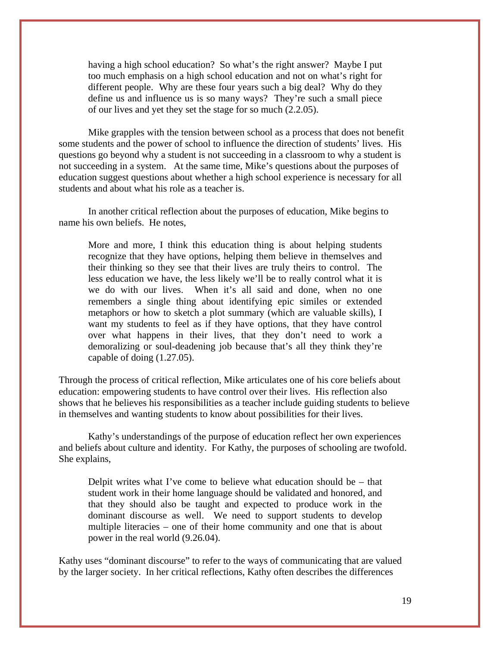having a high school education? So what's the right answer? Maybe I put too much emphasis on a high school education and not on what's right for different people. Why are these four years such a big deal? Why do they define us and influence us is so many ways? They're such a small piece of our lives and yet they set the stage for so much (2.2.05).

Mike grapples with the tension between school as a process that does not benefit some students and the power of school to influence the direction of students' lives. His questions go beyond why a student is not succeeding in a classroom to why a student is not succeeding in a system. At the same time, Mike's questions about the purposes of education suggest questions about whether a high school experience is necessary for all students and about what his role as a teacher is.

In another critical reflection about the purposes of education, Mike begins to name his own beliefs. He notes,

More and more, I think this education thing is about helping students recognize that they have options, helping them believe in themselves and their thinking so they see that their lives are truly theirs to control. The less education we have, the less likely we'll be to really control what it is we do with our lives. When it's all said and done, when no one remembers a single thing about identifying epic similes or extended metaphors or how to sketch a plot summary (which are valuable skills), I want my students to feel as if they have options, that they have control over what happens in their lives, that they don't need to work a demoralizing or soul-deadening job because that's all they think they're capable of doing (1.27.05).

Through the process of critical reflection, Mike articulates one of his core beliefs about education: empowering students to have control over their lives. His reflection also shows that he believes his responsibilities as a teacher include guiding students to believe in themselves and wanting students to know about possibilities for their lives.

 Kathy's understandings of the purpose of education reflect her own experiences and beliefs about culture and identity. For Kathy, the purposes of schooling are twofold. She explains,

Delpit writes what I've come to believe what education should be – that student work in their home language should be validated and honored, and that they should also be taught and expected to produce work in the dominant discourse as well. We need to support students to develop multiple literacies – one of their home community and one that is about power in the real world (9.26.04).

Kathy uses "dominant discourse" to refer to the ways of communicating that are valued by the larger society. In her critical reflections, Kathy often describes the differences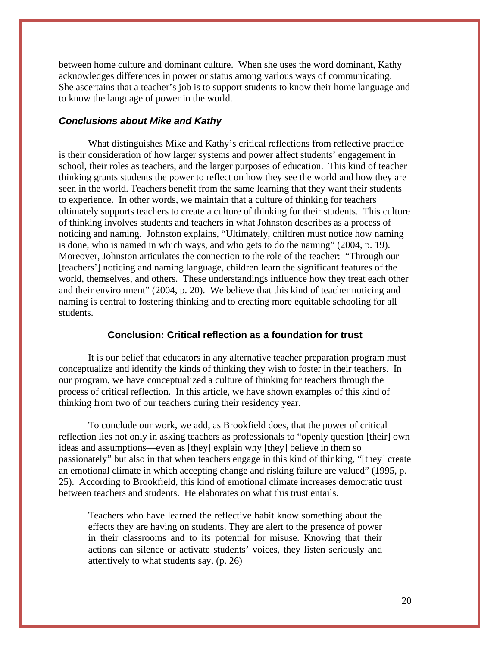between home culture and dominant culture. When she uses the word dominant, Kathy acknowledges differences in power or status among various ways of communicating. She ascertains that a teacher's job is to support students to know their home language and to know the language of power in the world.

## *Conclusions about Mike and Kathy*

What distinguishes Mike and Kathy's critical reflections from reflective practice is their consideration of how larger systems and power affect students' engagement in school, their roles as teachers, and the larger purposes of education. This kind of teacher thinking grants students the power to reflect on how they see the world and how they are seen in the world. Teachers benefit from the same learning that they want their students to experience. In other words, we maintain that a culture of thinking for teachers ultimately supports teachers to create a culture of thinking for their students. This culture of thinking involves students and teachers in what Johnston describes as a process of noticing and naming. Johnston explains, "Ultimately, children must notice how naming is done, who is named in which ways, and who gets to do the naming" (2004, p. 19). Moreover, Johnston articulates the connection to the role of the teacher: "Through our [teachers'] noticing and naming language, children learn the significant features of the world, themselves, and others. These understandings influence how they treat each other and their environment" (2004, p. 20). We believe that this kind of teacher noticing and naming is central to fostering thinking and to creating more equitable schooling for all students.

#### **Conclusion: Critical reflection as a foundation for trust**

It is our belief that educators in any alternative teacher preparation program must conceptualize and identify the kinds of thinking they wish to foster in their teachers. In our program, we have conceptualized a culture of thinking for teachers through the process of critical reflection. In this article, we have shown examples of this kind of thinking from two of our teachers during their residency year.

To conclude our work, we add, as Brookfield does, that the power of critical reflection lies not only in asking teachers as professionals to "openly question [their] own ideas and assumptions—even as [they] explain why [they] believe in them so passionately" but also in that when teachers engage in this kind of thinking, "[they] create an emotional climate in which accepting change and risking failure are valued" (1995, p. 25). According to Brookfield, this kind of emotional climate increases democratic trust between teachers and students. He elaborates on what this trust entails.

Teachers who have learned the reflective habit know something about the effects they are having on students. They are alert to the presence of power in their classrooms and to its potential for misuse. Knowing that their actions can silence or activate students' voices, they listen seriously and attentively to what students say. (p. 26)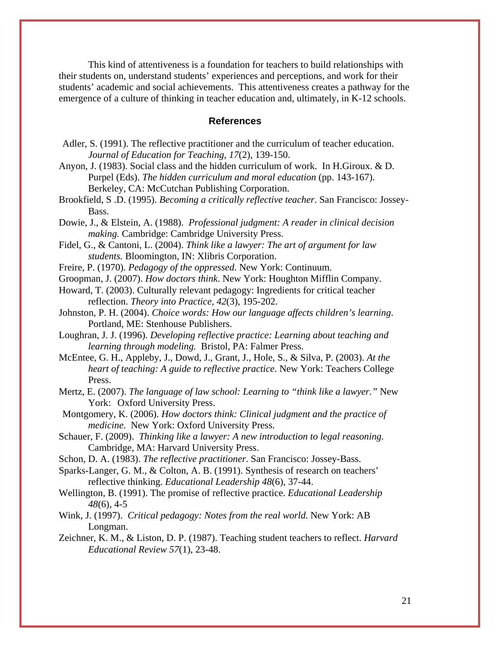This kind of attentiveness is a foundation for teachers to build relationships with their students on, understand students' experiences and perceptions, and work for their students' academic and social achievements. This attentiveness creates a pathway for the emergence of a culture of thinking in teacher education and, ultimately, in K-12 schools.

#### **References**

- Adler, S. (1991). The reflective practitioner and the curriculum of teacher education. *Journal of Education for Teaching, 17*(2), 139-150.
- Anyon, J. (1983). Social class and the hidden curriculum of work. In H.Giroux. & D. Purpel (Eds). *The hidden curriculum and moral education* (pp. 143-167). Berkeley, CA: McCutchan Publishing Corporation.
- Brookfield, S .D. (1995). *Becoming a critically reflective teacher*. San Francisco: Jossey-Bass.

Dowie, J., & Elstein, A. (1988). *Professional judgment: A reader in clinical decision making.* Cambridge: Cambridge University Press.

- Fidel, G., & Cantoni, L. (2004). *Think like a lawyer: The art of argument for law students.* Bloomington, IN: Xlibris Corporation.
- Freire, P. (1970). *Pedagogy of the oppressed*. New York: Continuum.
- Groopman, J. (2007). *How doctors think*. New York: Houghton Mifflin Company.

Howard, T. (2003). Culturally relevant pedagogy: Ingredients for critical teacher reflection. *Theory into Practice, 42*(3), 195-202.

- Johnston, P. H. (2004). *Choice words: How our language affects children's learning*. Portland, ME: Stenhouse Publishers.
- Loughran, J. J. (1996). *Developing reflective practice: Learning about teaching and learning through modeling.* Bristol, PA: Falmer Press.

[McEntee, G. H.](http://0-md1.csa.com.bianca.penlib.du.edu/ids70/p_search_form.php?field=au&query=mcentee+grace+hall&log=literal&SID=4f249e30056c2cc457fc0ee953df20b6), [Appleby, J.](http://0-md1.csa.com.bianca.penlib.du.edu/ids70/p_search_form.php?field=au&query=appleby+jon&log=literal&SID=4f249e30056c2cc457fc0ee953df20b6), [Dowd, J.,](http://0-md1.csa.com.bianca.penlib.du.edu/ids70/p_search_form.php?field=au&query=dowd+joanne&log=literal&SID=4f249e30056c2cc457fc0ee953df20b6) [Grant, J.,](http://0-md1.csa.com.bianca.penlib.du.edu/ids70/p_search_form.php?field=au&query=grant+jan&log=literal&SID=4f249e30056c2cc457fc0ee953df20b6) [Hole, S.,](http://0-md1.csa.com.bianca.penlib.du.edu/ids70/p_search_form.php?field=au&query=hole+simon&log=literal&SID=4f249e30056c2cc457fc0ee953df20b6) & Silva, P. (2003). *At the heart of teaching: A guide to reflective practice*. New York: Teachers College Press.

- Mertz, E. (2007). *The language of law school: Learning to "think like a lawyer."* New York: Oxford University Press.
- Montgomery, K. (2006). *How doctors think: Clinical judgment and the practice of medicine*. New York: Oxford University Press.
- Schauer, F. (2009). *Thinking like a lawyer: A new introduction to legal reasoning.* Cambridge, MA: Harvard University Press.
- Schon, D. A. (1983). *The reflective practitioner*. San Francisco: Jossey-Bass.

Sparks-Langer, G. M., & Colton, A. B. (1991). Synthesis of research on teachers' reflective thinking. *Educational Leadership 48*(6), 37-44.

- Wellington, B. (1991). The promise of reflective practice. *Educational Leadership 48*(6), 4-5
- Wink, J. (1997). *Critical pedagogy: Notes from the real world*. New York: AB Longman.
- Zeichner, K. M., & Liston, D. P. (1987). Teaching student teachers to reflect. *Harvard Educational Review 57*(1), 23-48.